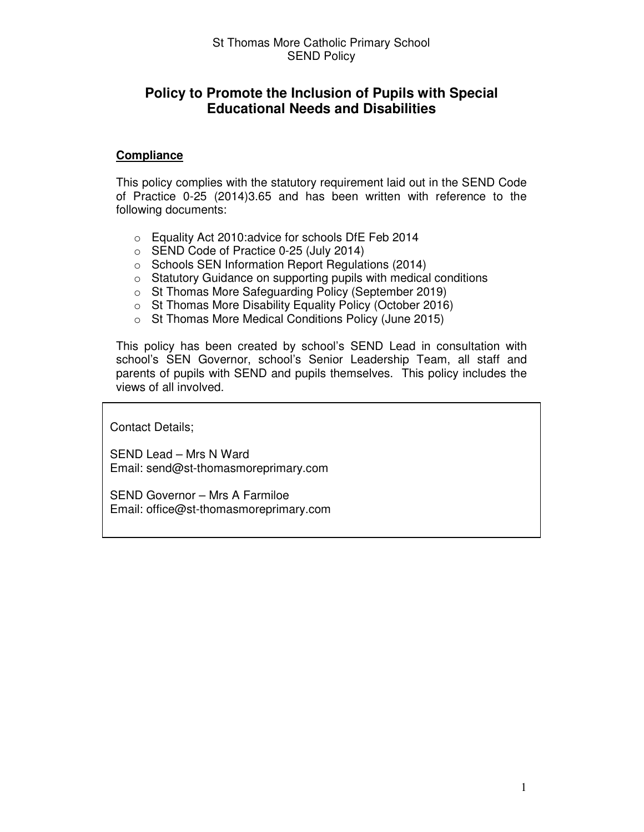# **Policy to Promote the Inclusion of Pupils with Special Educational Needs and Disabilities**

#### **Compliance**

This policy complies with the statutory requirement laid out in the SEND Code of Practice 0-25 (2014)3.65 and has been written with reference to the following documents:

- o Equality Act 2010:advice for schools DfE Feb 2014
- o SEND Code of Practice 0-25 (July 2014)
- o Schools SEN Information Report Regulations (2014)
- o Statutory Guidance on supporting pupils with medical conditions
- o St Thomas More Safeguarding Policy (September 2019)
- o St Thomas More Disability Equality Policy (October 2016)
- o St Thomas More Medical Conditions Policy (June 2015)

This policy has been created by school's SEND Lead in consultation with school's SEN Governor, school's Senior Leadership Team, all staff and parents of pupils with SEND and pupils themselves. This policy includes the views of all involved.

Contact Details;

SEND Lead – Mrs N Ward Email: send@st-thomasmoreprimary.com

SEND Governor – Mrs A Farmiloe Email: office@st-thomasmoreprimary.com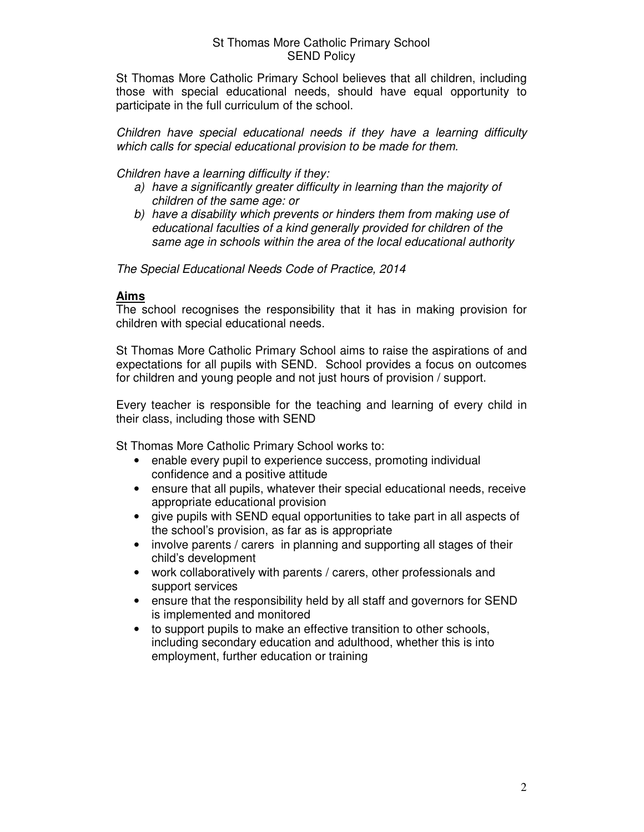St Thomas More Catholic Primary School believes that all children, including those with special educational needs, should have equal opportunity to participate in the full curriculum of the school.

*Children have special educational needs if they have a learning difficulty which calls for special educational provision to be made for them.* 

*Children have a learning difficulty if they:* 

- *a) have a significantly greater difficulty in learning than the majority of children of the same age: or*
- *b) have a disability which prevents or hinders them from making use of educational faculties of a kind generally provided for children of the same age in schools within the area of the local educational authority*

*The Special Educational Needs Code of Practice, 2014* 

# **Aims**

The school recognises the responsibility that it has in making provision for children with special educational needs.

St Thomas More Catholic Primary School aims to raise the aspirations of and expectations for all pupils with SEND. School provides a focus on outcomes for children and young people and not just hours of provision / support.

Every teacher is responsible for the teaching and learning of every child in their class, including those with SEND

St Thomas More Catholic Primary School works to:

- enable every pupil to experience success, promoting individual confidence and a positive attitude
- ensure that all pupils, whatever their special educational needs, receive appropriate educational provision
- give pupils with SEND equal opportunities to take part in all aspects of the school's provision, as far as is appropriate
- involve parents / carers in planning and supporting all stages of their child's development
- work collaboratively with parents / carers, other professionals and support services
- ensure that the responsibility held by all staff and governors for SEND is implemented and monitored
- to support pupils to make an effective transition to other schools, including secondary education and adulthood, whether this is into employment, further education or training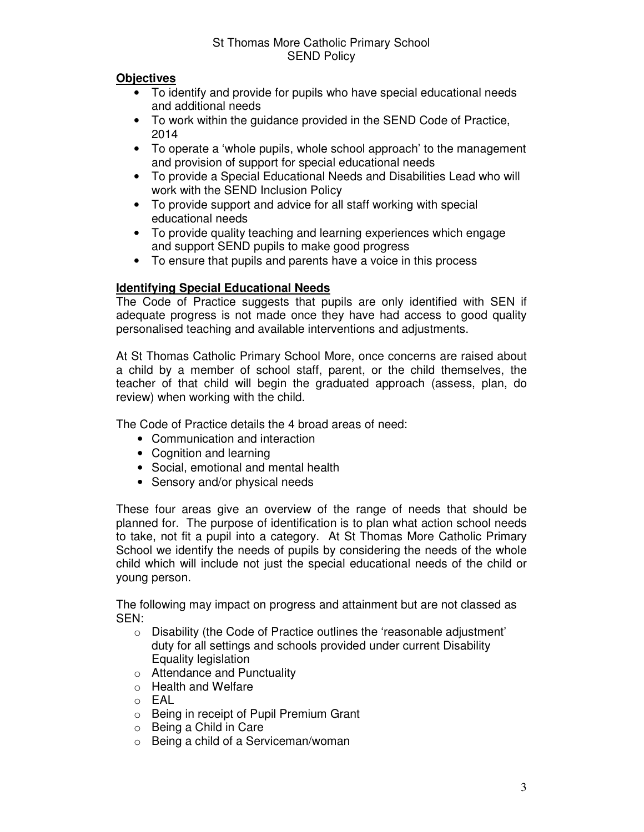# St Thomas More Catholic Primary School SEND Policy

# **Objectives**

- To identify and provide for pupils who have special educational needs and additional needs
- To work within the guidance provided in the SEND Code of Practice, 2014
- To operate a 'whole pupils, whole school approach' to the management and provision of support for special educational needs
- To provide a Special Educational Needs and Disabilities Lead who will work with the SEND Inclusion Policy
- To provide support and advice for all staff working with special educational needs
- To provide quality teaching and learning experiences which engage and support SEND pupils to make good progress
- To ensure that pupils and parents have a voice in this process

# **Identifying Special Educational Needs**

The Code of Practice suggests that pupils are only identified with SEN if adequate progress is not made once they have had access to good quality personalised teaching and available interventions and adjustments.

At St Thomas Catholic Primary School More, once concerns are raised about a child by a member of school staff, parent, or the child themselves, the teacher of that child will begin the graduated approach (assess, plan, do review) when working with the child.

The Code of Practice details the 4 broad areas of need:

- Communication and interaction
- Cognition and learning
- Social, emotional and mental health
- Sensory and/or physical needs

These four areas give an overview of the range of needs that should be planned for. The purpose of identification is to plan what action school needs to take, not fit a pupil into a category. At St Thomas More Catholic Primary School we identify the needs of pupils by considering the needs of the whole child which will include not just the special educational needs of the child or young person.

The following may impact on progress and attainment but are not classed as SEN:

- $\circ$  Disability (the Code of Practice outlines the 'reasonable adjustment' duty for all settings and schools provided under current Disability Equality legislation
- o Attendance and Punctuality
- o Health and Welfare
- o EAL
- o Being in receipt of Pupil Premium Grant
- o Being a Child in Care
- o Being a child of a Serviceman/woman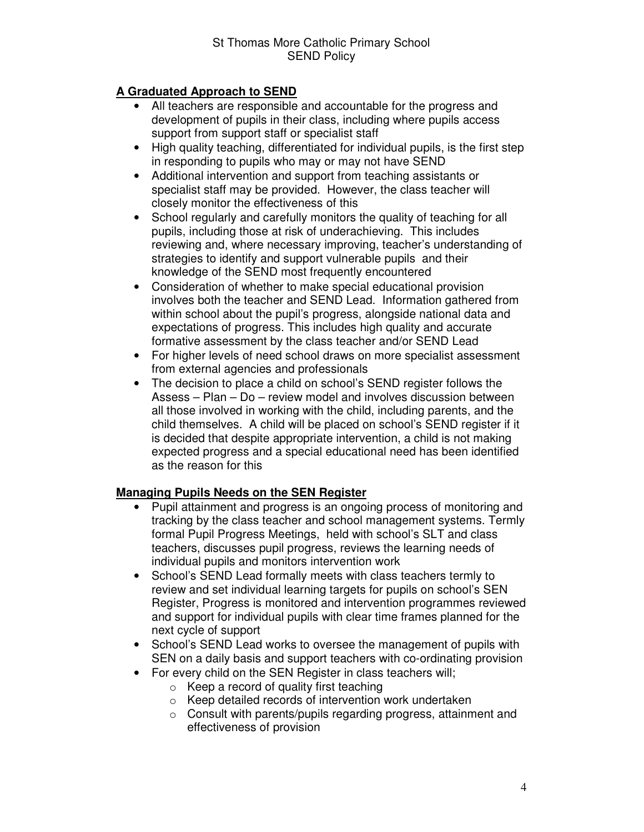# **A Graduated Approach to SEND**

- All teachers are responsible and accountable for the progress and development of pupils in their class, including where pupils access support from support staff or specialist staff
- High quality teaching, differentiated for individual pupils, is the first step in responding to pupils who may or may not have SEND
- Additional intervention and support from teaching assistants or specialist staff may be provided. However, the class teacher will closely monitor the effectiveness of this
- School regularly and carefully monitors the quality of teaching for all pupils, including those at risk of underachieving. This includes reviewing and, where necessary improving, teacher's understanding of strategies to identify and support vulnerable pupils and their knowledge of the SEND most frequently encountered
- Consideration of whether to make special educational provision involves both the teacher and SEND Lead. Information gathered from within school about the pupil's progress, alongside national data and expectations of progress. This includes high quality and accurate formative assessment by the class teacher and/or SEND Lead
- For higher levels of need school draws on more specialist assessment from external agencies and professionals
- The decision to place a child on school's SEND register follows the Assess – Plan – Do – review model and involves discussion between all those involved in working with the child, including parents, and the child themselves. A child will be placed on school's SEND register if it is decided that despite appropriate intervention, a child is not making expected progress and a special educational need has been identified as the reason for this

# **Managing Pupils Needs on the SEN Register**

- Pupil attainment and progress is an ongoing process of monitoring and tracking by the class teacher and school management systems. Termly formal Pupil Progress Meetings, held with school's SLT and class teachers, discusses pupil progress, reviews the learning needs of individual pupils and monitors intervention work
- School's SEND Lead formally meets with class teachers termly to review and set individual learning targets for pupils on school's SEN Register, Progress is monitored and intervention programmes reviewed and support for individual pupils with clear time frames planned for the next cycle of support
- School's SEND Lead works to oversee the management of pupils with SEN on a daily basis and support teachers with co-ordinating provision
- For every child on the SEN Register in class teachers will:
	- $\circ$  Keep a record of quality first teaching
	- o Keep detailed records of intervention work undertaken
	- o Consult with parents/pupils regarding progress, attainment and effectiveness of provision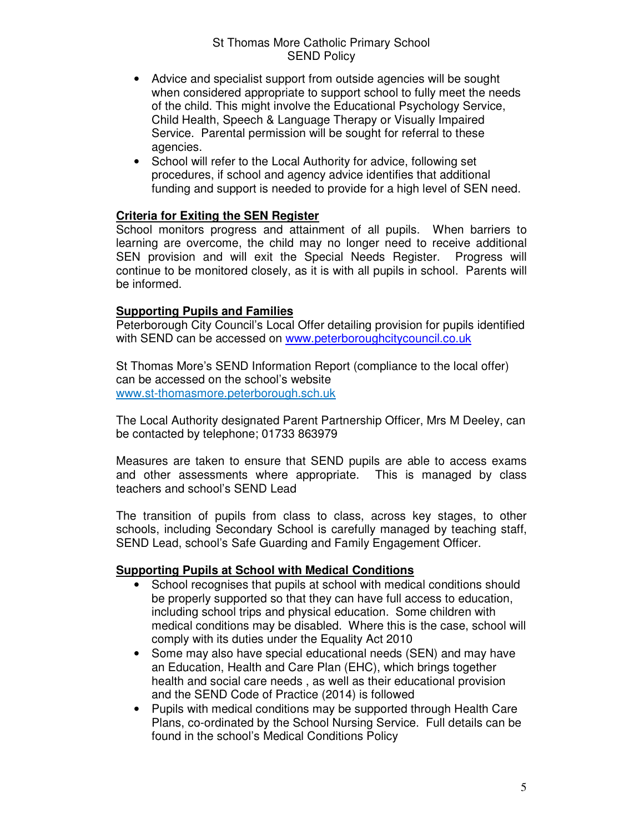#### St Thomas More Catholic Primary School SEND Policy

- Advice and specialist support from outside agencies will be sought when considered appropriate to support school to fully meet the needs of the child. This might involve the Educational Psychology Service, Child Health, Speech & Language Therapy or Visually Impaired Service. Parental permission will be sought for referral to these agencies.
- School will refer to the Local Authority for advice, following set procedures, if school and agency advice identifies that additional funding and support is needed to provide for a high level of SEN need.

# **Criteria for Exiting the SEN Register**

School monitors progress and attainment of all pupils. When barriers to learning are overcome, the child may no longer need to receive additional SEN provision and will exit the Special Needs Register. Progress will continue to be monitored closely, as it is with all pupils in school. Parents will be informed.

# **Supporting Pupils and Families**

Peterborough City Council's Local Offer detailing provision for pupils identified with SEND can be accessed on www.peterboroughcitycouncil.co.uk

St Thomas More's SEND Information Report (compliance to the local offer) can be accessed on the school's website www.st-thomasmore.peterborough.sch.uk

The Local Authority designated Parent Partnership Officer, Mrs M Deeley, can be contacted by telephone; 01733 863979

Measures are taken to ensure that SEND pupils are able to access exams and other assessments where appropriate. This is managed by class teachers and school's SEND Lead

The transition of pupils from class to class, across key stages, to other schools, including Secondary School is carefully managed by teaching staff, SEND Lead, school's Safe Guarding and Family Engagement Officer.

#### **Supporting Pupils at School with Medical Conditions**

- School recognises that pupils at school with medical conditions should be properly supported so that they can have full access to education, including school trips and physical education. Some children with medical conditions may be disabled. Where this is the case, school will comply with its duties under the Equality Act 2010
- Some may also have special educational needs (SEN) and may have an Education, Health and Care Plan (EHC), which brings together health and social care needs , as well as their educational provision and the SEND Code of Practice (2014) is followed
- Pupils with medical conditions may be supported through Health Care Plans, co-ordinated by the School Nursing Service. Full details can be found in the school's Medical Conditions Policy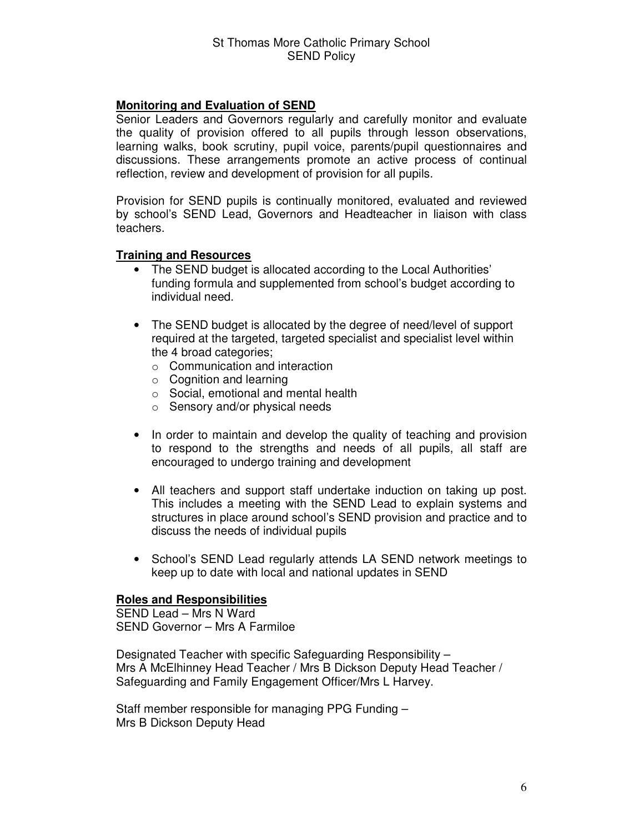# **Monitoring and Evaluation of SEND**

Senior Leaders and Governors regularly and carefully monitor and evaluate the quality of provision offered to all pupils through lesson observations, learning walks, book scrutiny, pupil voice, parents/pupil questionnaires and discussions. These arrangements promote an active process of continual reflection, review and development of provision for all pupils.

Provision for SEND pupils is continually monitored, evaluated and reviewed by school's SEND Lead, Governors and Headteacher in liaison with class teachers.

#### **Training and Resources**

- The SEND budget is allocated according to the Local Authorities' funding formula and supplemented from school's budget according to individual need.
- The SEND budget is allocated by the degree of need/level of support required at the targeted, targeted specialist and specialist level within the 4 broad categories;
	- o Communication and interaction
	- o Cognition and learning
	- o Social, emotional and mental health
	- o Sensory and/or physical needs
- In order to maintain and develop the quality of teaching and provision to respond to the strengths and needs of all pupils, all staff are encouraged to undergo training and development
- All teachers and support staff undertake induction on taking up post. This includes a meeting with the SEND Lead to explain systems and structures in place around school's SEND provision and practice and to discuss the needs of individual pupils
- School's SEND Lead regularly attends LA SEND network meetings to keep up to date with local and national updates in SEND

#### **Roles and Responsibilities**

SEND Lead – Mrs N Ward SEND Governor – Mrs A Farmiloe

Designated Teacher with specific Safeguarding Responsibility – Mrs A McElhinney Head Teacher / Mrs B Dickson Deputy Head Teacher / Safeguarding and Family Engagement Officer/Mrs L Harvey.

Staff member responsible for managing PPG Funding – Mrs B Dickson Deputy Head